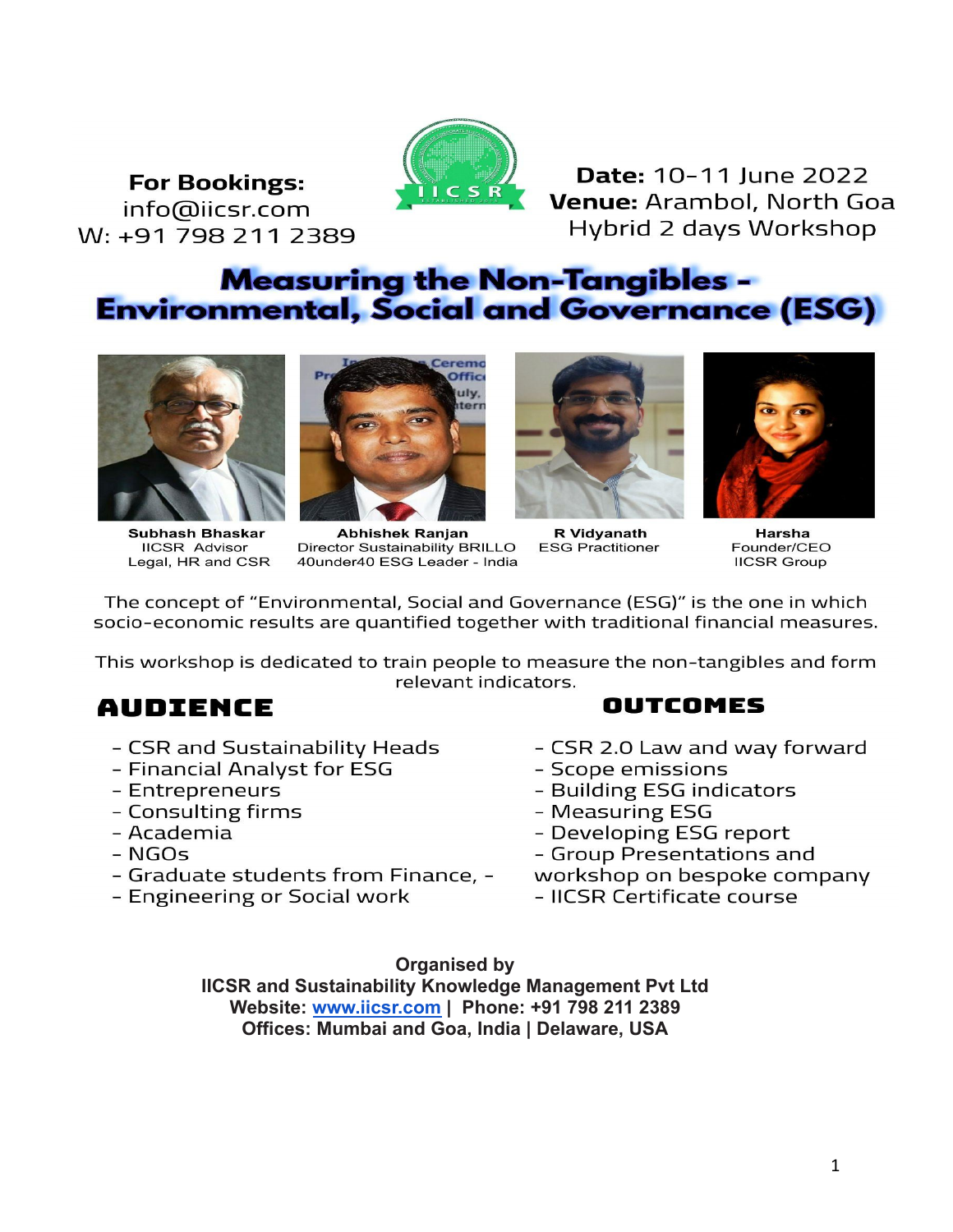**For Bookings:** info@iicsr.com W: +91 798 211 2389



**Date: 10-11 lune 2022** Venue: Arambol, North Goa Hybrid 2 days Workshop

### **Measuring the Non-Tangibles -Environmental, Social and Governance (ESG)**



**Subhash Bhaskar IICSR Advisor** Legal, HR and CSR



Abhishek Ranjan **Director Sustainability BRILLO** 40under40 ESG Leader - India



**R** Vidyanath **ESG Practitioner** 



**Harsha** Founder/CEO **IICSR Group** 

The concept of "Environmental, Social and Governance (ESG)" is the one in which socio-economic results are quantified together with traditional financial measures.

This workshop is dedicated to train people to measure the non-tangibles and form relevant indicators.

### **AUDIENCE**

- CSR and Sustainability Heads
- Financial Analyst for ESG
- Entrepreneurs
- Consulting firms
- Academia
- $**NGOS**$
- Graduate students from Finance, -
- Engineering or Social work
- OUTCOMES
- CSR 2.0 Law and way forward
- Scope emissions
- Building ESG indicators
- Measuring ESG
- Developing ESG report
- Group Presentations and
- workshop on bespoke company
- IICSR Certificate course

#### **Organised by**

**IICSR and Sustainability Knowledge Management Pvt Ltd Website: [www.iicsr.com](http://www.iicsr.com) | Phone: +91 798 211 2389 Offices: Mumbai and Goa, India | Delaware, USA**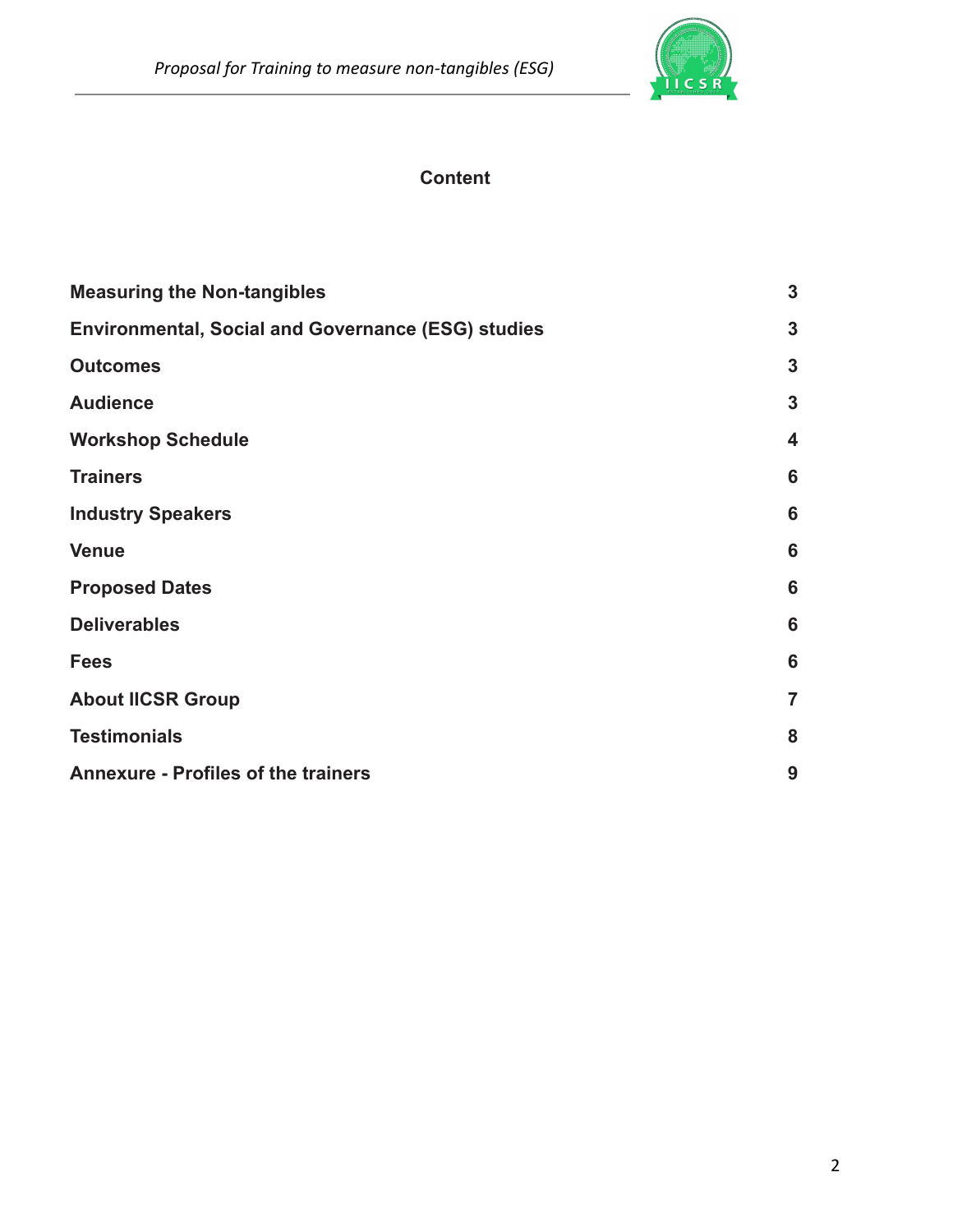

### **Content**

| <b>Measuring the Non-tangibles</b>                        |                         |
|-----------------------------------------------------------|-------------------------|
| <b>Environmental, Social and Governance (ESG) studies</b> |                         |
| <b>Outcomes</b>                                           | 3                       |
| <b>Audience</b>                                           | $\mathbf{3}$            |
| <b>Workshop Schedule</b>                                  | $\overline{\mathbf{4}}$ |
| <b>Trainers</b>                                           | 6                       |
| <b>Industry Speakers</b>                                  | 6                       |
| <b>Venue</b>                                              | 6                       |
| <b>Proposed Dates</b>                                     | 6                       |
| <b>Deliverables</b>                                       | 6                       |
| <b>Fees</b>                                               | $6\phantom{1}6$         |
| <b>About IICSR Group</b>                                  | $\overline{7}$          |
| <b>Testimonials</b>                                       |                         |
| <b>Annexure - Profiles of the trainers</b>                |                         |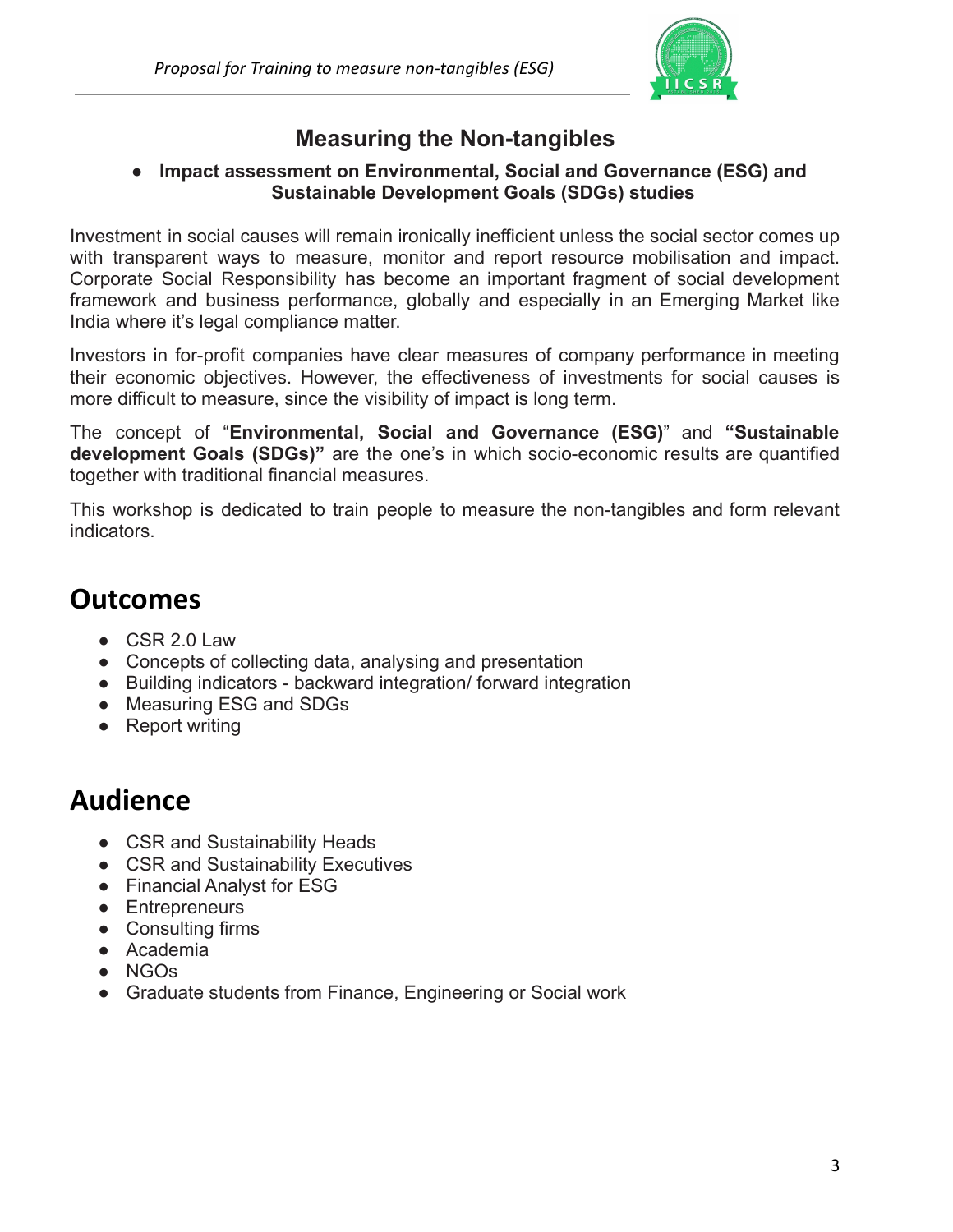

### **Measuring the Non-tangibles**

#### <span id="page-2-0"></span>**● Impact assessment on Environmental, Social and Governance (ESG) and Sustainable Development Goals (SDGs) studies**

<span id="page-2-1"></span>Investment in social causes will remain ironically inefficient unless the social sector comes up with transparent ways to measure, monitor and report resource mobilisation and impact. Corporate Social Responsibility has become an important fragment of social development framework and business performance, globally and especially in an Emerging Market like India where it's legal compliance matter.

Investors in for-profit companies have clear measures of company performance in meeting their economic objectives. However, the effectiveness of investments for social causes is more difficult to measure, since the visibility of impact is long term.

The concept of "**Environmental, Social and Governance (ESG)**" and **"Sustainable development Goals (SDGs)"** are the one's in which socio-economic results are quantified together with traditional financial measures.

This workshop is dedicated to train people to measure the non-tangibles and form relevant indicators.

## <span id="page-2-2"></span>**Outcomes**

- CSR 2.0 Law
- Concepts of collecting data, analysing and presentation
- Building indicators backward integration/ forward integration
- Measuring ESG and SDGs
- <span id="page-2-3"></span>● Report writing

## **Audience**

- CSR and Sustainability Heads
- CSR and Sustainability Executives
- Financial Analyst for ESG
- Entrepreneurs
- Consulting firms
- Academia
- NGOs
- Graduate students from Finance, Engineering or Social work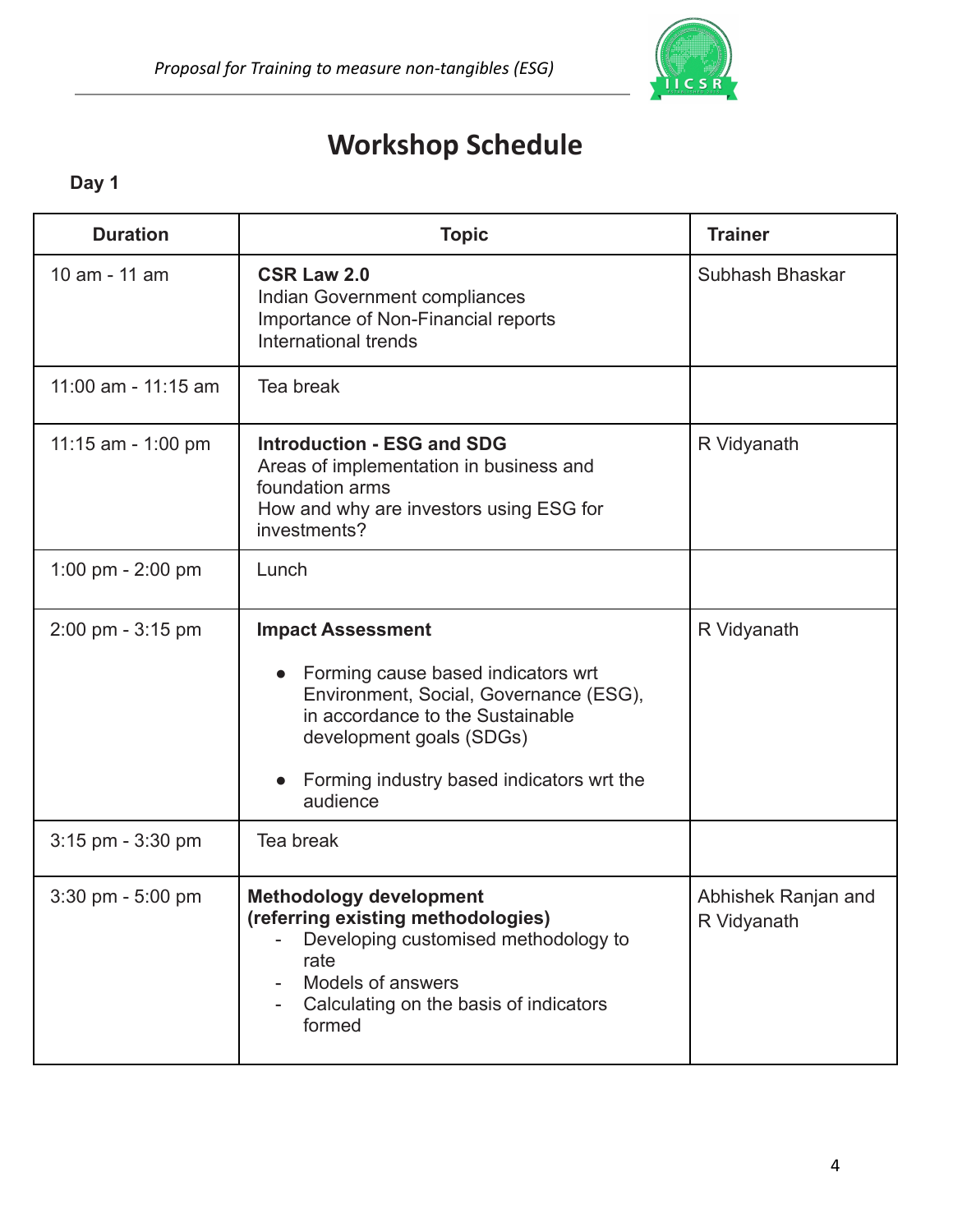

# **Workshop Schedule**

### <span id="page-3-0"></span>**Day 1**

| <b>Duration</b>                     | <b>Topic</b>                                                                                                                                                                                                                                   | <b>Trainer</b>                     |
|-------------------------------------|------------------------------------------------------------------------------------------------------------------------------------------------------------------------------------------------------------------------------------------------|------------------------------------|
| 10 am - 11 am                       | <b>CSR Law 2.0</b><br>Indian Government compliances<br>Importance of Non-Financial reports<br>International trends                                                                                                                             | Subhash Bhaskar                    |
| 11:00 am - 11:15 am                 | Tea break                                                                                                                                                                                                                                      |                                    |
| 11:15 am - 1:00 pm                  | <b>Introduction - ESG and SDG</b><br>Areas of implementation in business and<br>foundation arms<br>How and why are investors using ESG for<br>investments?                                                                                     | R Vidyanath                        |
| 1:00 pm $- 2:00$ pm                 | Lunch                                                                                                                                                                                                                                          |                                    |
| $2:00 \text{ pm} - 3:15 \text{ pm}$ | <b>Impact Assessment</b><br>Forming cause based indicators wrt<br>$\bullet$<br>Environment, Social, Governance (ESG),<br>in accordance to the Sustainable<br>development goals (SDGs)<br>Forming industry based indicators wrt the<br>audience | R Vidyanath                        |
| $3:15$ pm - $3:30$ pm               | Tea break                                                                                                                                                                                                                                      |                                    |
| $3:30$ pm $-5:00$ pm                | <b>Methodology development</b><br>(referring existing methodologies)<br>Developing customised methodology to<br>rate<br>Models of answers<br>Calculating on the basis of indicators<br>formed                                                  | Abhishek Ranjan and<br>R Vidyanath |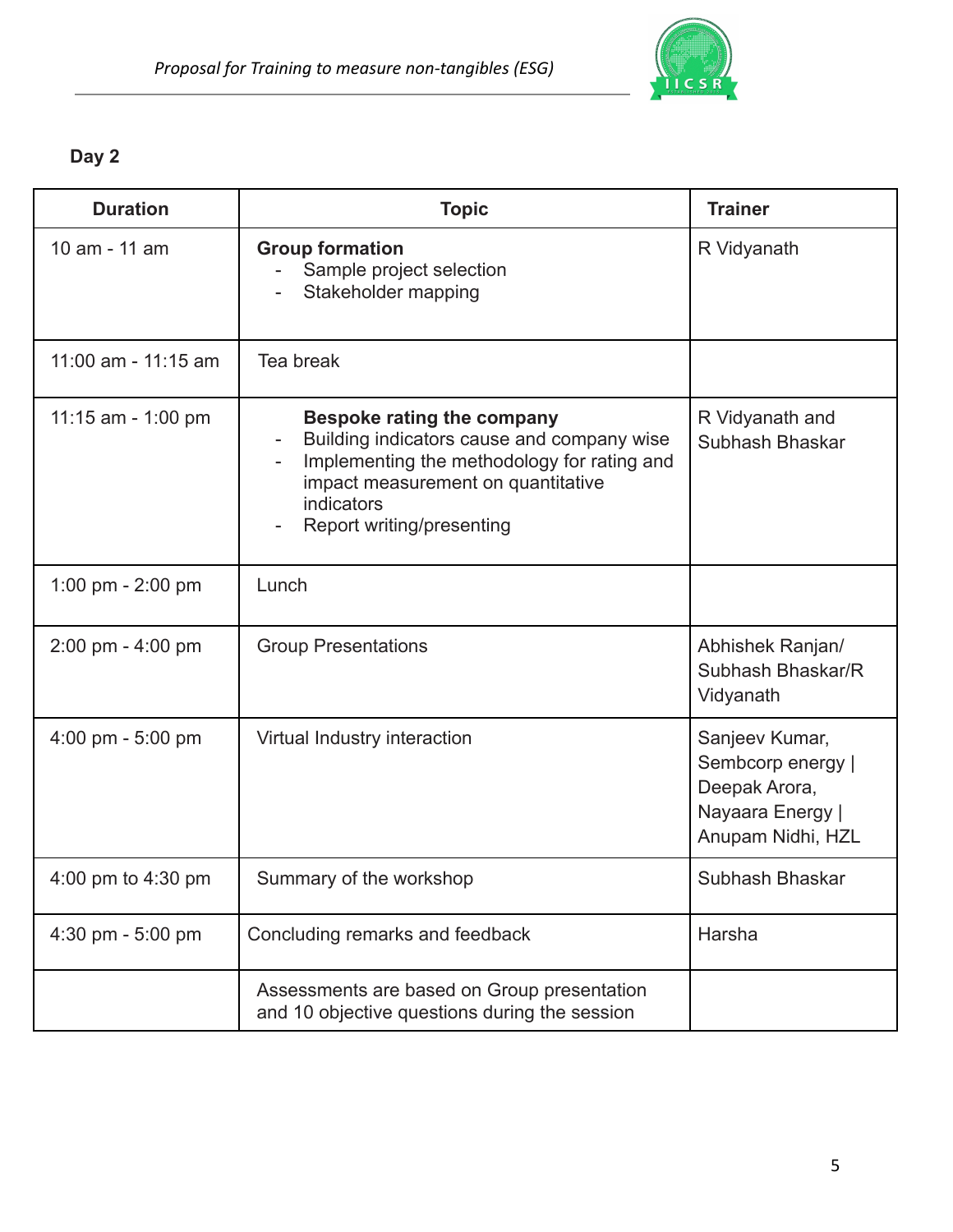

### **Day 2**

| <b>Duration</b>                     | <b>Topic</b>                                                                                                                                                                                                    | <b>Trainer</b>                                                                                |
|-------------------------------------|-----------------------------------------------------------------------------------------------------------------------------------------------------------------------------------------------------------------|-----------------------------------------------------------------------------------------------|
| 10 am - 11 am                       | <b>Group formation</b><br>Sample project selection<br>Stakeholder mapping                                                                                                                                       | R Vidyanath                                                                                   |
| 11:00 am - 11:15 am                 | Tea break                                                                                                                                                                                                       |                                                                                               |
| 11:15 am - 1:00 pm                  | <b>Bespoke rating the company</b><br>Building indicators cause and company wise<br>Implementing the methodology for rating and<br>impact measurement on quantitative<br>indicators<br>Report writing/presenting | R Vidyanath and<br>Subhash Bhaskar                                                            |
| 1:00 pm $- 2:00$ pm                 | Lunch                                                                                                                                                                                                           |                                                                                               |
| 2:00 pm - 4:00 pm                   | <b>Group Presentations</b>                                                                                                                                                                                      | Abhishek Ranjan/<br>Subhash Bhaskar/R<br>Vidyanath                                            |
| $4:00 \text{ pm} - 5:00 \text{ pm}$ | Virtual Industry interaction                                                                                                                                                                                    | Sanjeev Kumar,<br>Sembcorp energy  <br>Deepak Arora,<br>Nayaara Energy  <br>Anupam Nidhi, HZL |
| 4:00 pm to 4:30 pm                  | Summary of the workshop                                                                                                                                                                                         | Subhash Bhaskar                                                                               |
| 4:30 pm - 5:00 pm                   | Concluding remarks and feedback                                                                                                                                                                                 | Harsha                                                                                        |
|                                     | Assessments are based on Group presentation<br>and 10 objective questions during the session                                                                                                                    |                                                                                               |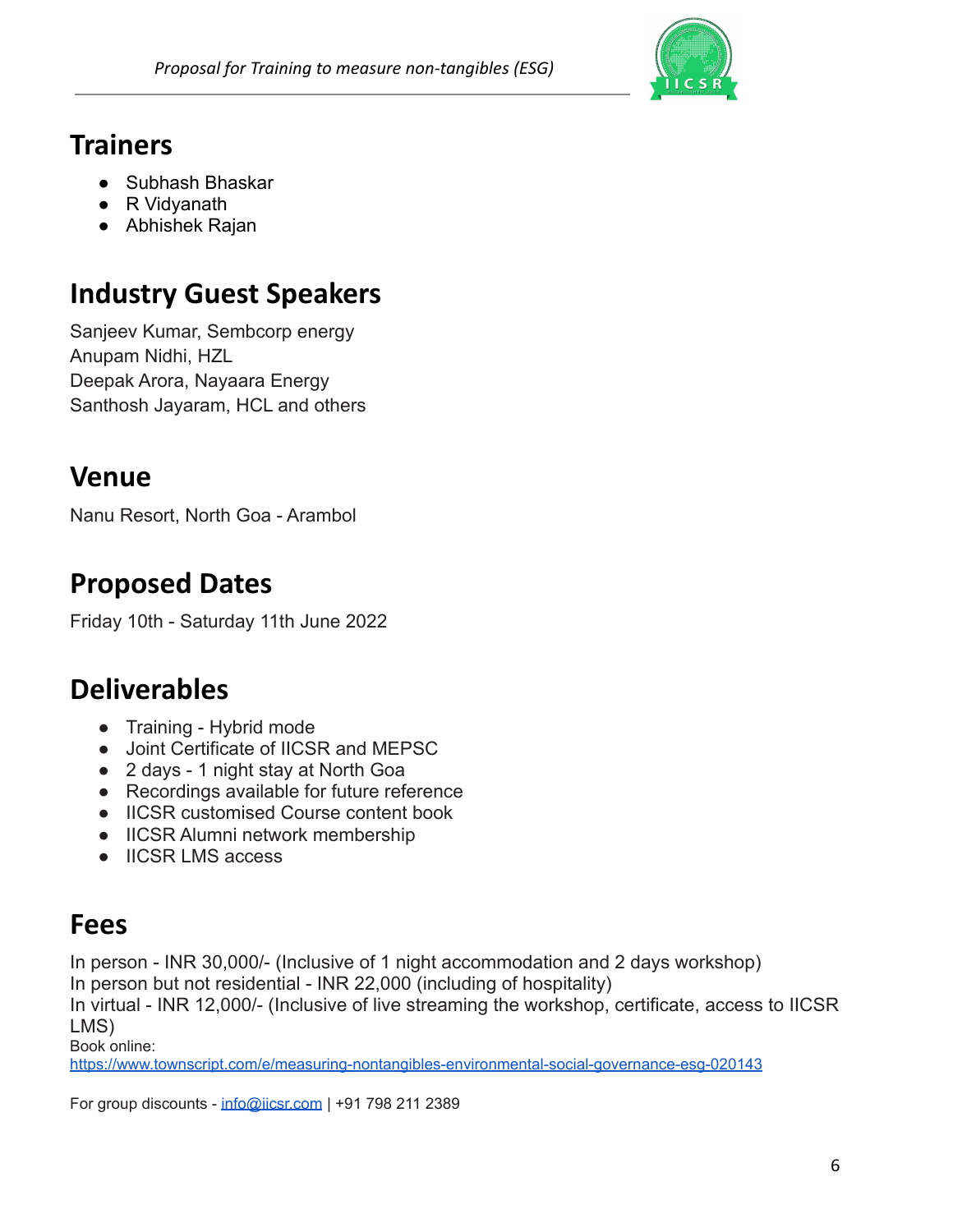

# <span id="page-5-0"></span>**Trainers**

- Subhash Bhaskar
- R Vidyanath
- <span id="page-5-1"></span>● Abhishek Rajan

# **Industry Guest Speakers**

Sanjeev Kumar, Sembcorp energy Anupam Nidhi, HZL Deepak Arora, Nayaara Energy Santhosh Jayaram, HCL and others

## <span id="page-5-2"></span>**Venue**

<span id="page-5-3"></span>Nanu Resort, North Goa - Arambol

# **Proposed Dates**

<span id="page-5-4"></span>Friday 10th - Saturday 11th June 2022

# **Deliverables**

- Training Hybrid mode
- Joint Certificate of IICSR and MEPSC
- 2 days 1 night stay at North Goa
- Recordings available for future reference
- IICSR customised Course content book
- IICSR Alumni network membership
- <span id="page-5-5"></span>● IICSR LMS access

# **Fees**

In person - INR 30,000/- (Inclusive of 1 night accommodation and 2 days workshop) In person but not residential - INR 22,000 (including of hospitality)

In virtual - INR 12,000/- (Inclusive of live streaming the workshop, certificate, access to IICSR

LMS)

Book online:

<https://www.townscript.com/e/measuring-nontangibles-environmental-social-governance-esg-020143>

For group discounts - [info@iicsr.com](mailto:info@iicsr.com) | +91 798 211 2389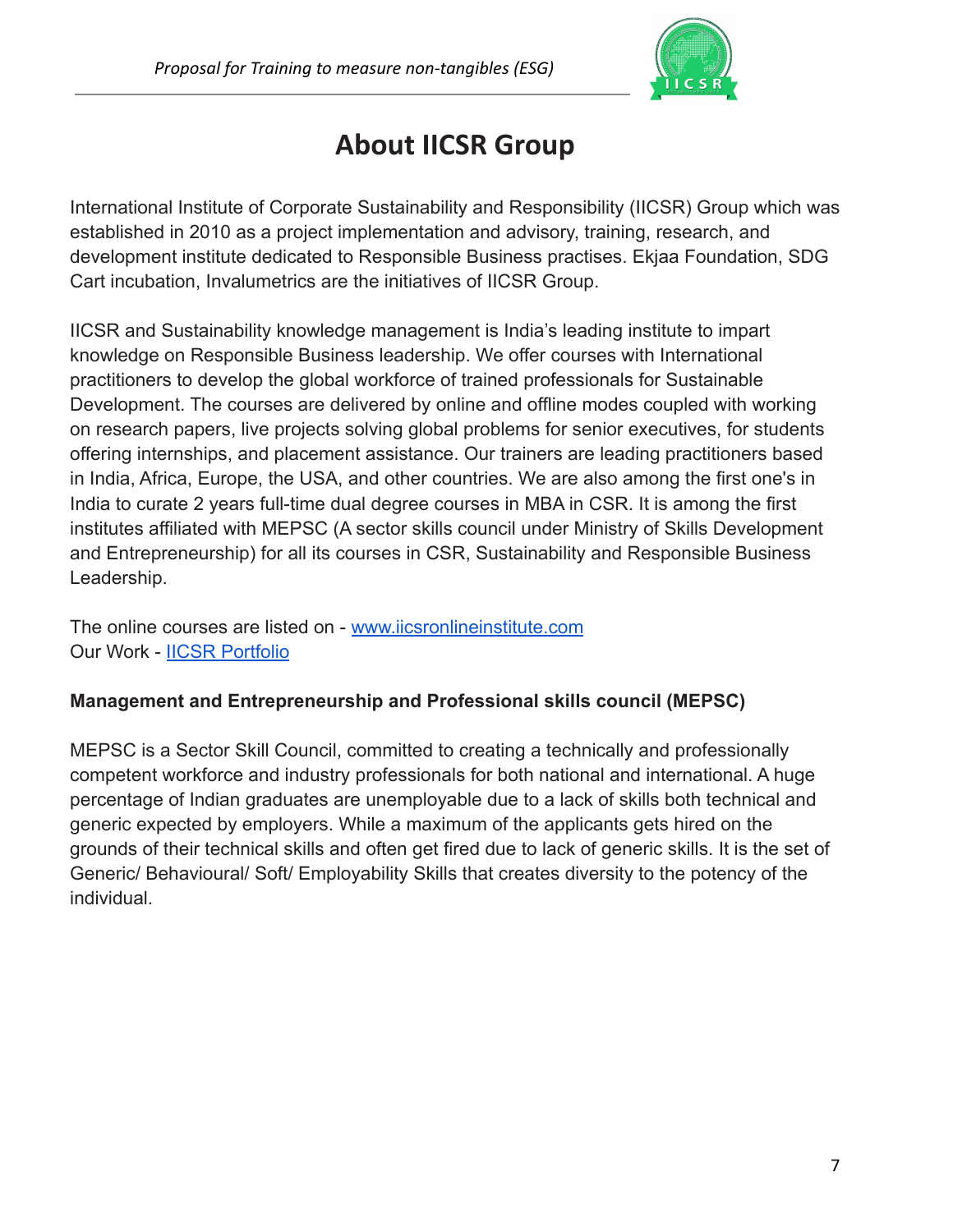

# **About IICSR Group**

<span id="page-6-0"></span>International Institute of Corporate Sustainability and Responsibility (IICSR) Group which was established in 2010 as a project implementation and advisory, training, research, and development institute dedicated to Responsible Business practises. Ekjaa Foundation, SDG Cart incubation, Invalumetrics are the initiatives of IICSR Group.

IICSR and Sustainability knowledge management is India's leading institute to impart knowledge on Responsible Business leadership. We offer courses with International practitioners to develop the global workforce of trained professionals for Sustainable Development. The courses are delivered by online and offline modes coupled with working on research papers, live projects solving global problems for senior executives, for students offering internships, and placement assistance. Our trainers are leading practitioners based in India, Africa, Europe, the USA, and other countries. We are also among the first one's in India to curate 2 years full-time dual degree courses in MBA in CSR. It is among the first institutes affiliated with MEPSC (A sector skills council under Ministry of Skills Development and Entrepreneurship) for all its courses in CSR, Sustainability and Responsible Business Leadership.

The online courses are listed on - [www.iicsronlineinstitute.com](https://www.iicsronlineinstitute.com) Our Work - [IICSR Portfolio](https://docs.google.com/presentation/d/1gmp_gxMQ7YfCXIe_wOwlPFfTKyFYVFQ-/edit?usp=sharing&ouid=114510451953840546735&rtpof=true&sd=true)

### **Management and Entrepreneurship and Professional skills council (MEPSC)**

MEPSC is a Sector Skill Council, committed to creating a technically and professionally competent workforce and industry professionals for both national and international. A huge percentage of Indian graduates are unemployable due to a lack of skills both technical and generic expected by employers. While a maximum of the applicants gets hired on the grounds of their technical skills and often get fired due to lack of generic skills. It is the set of Generic/ Behavioural/ Soft/ Employability Skills that creates diversity to the potency of the individual.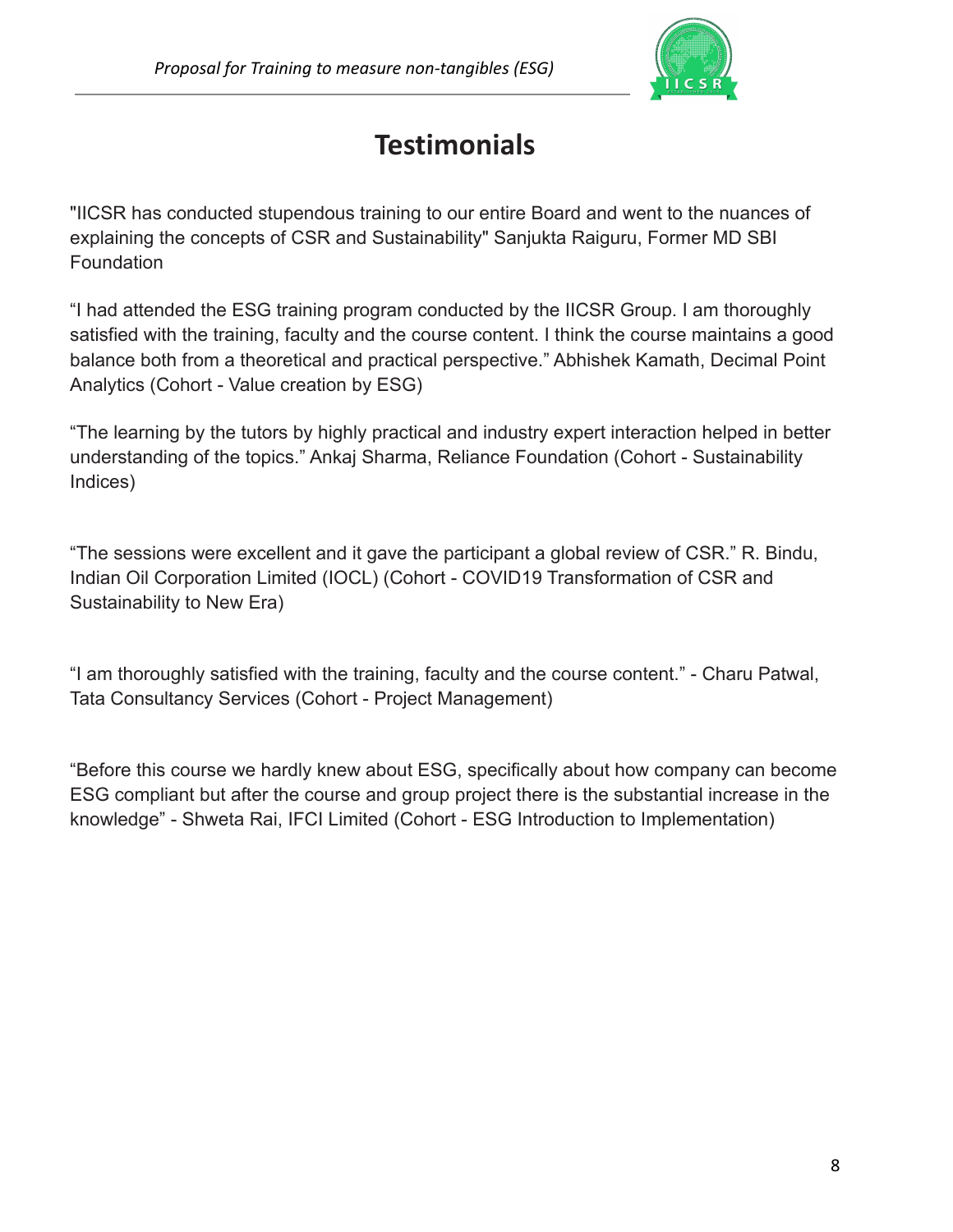

# **Testimonials**

<span id="page-7-0"></span>"IICSR has conducted stupendous training to our entire Board and went to the nuances of explaining the concepts of CSR and Sustainability" Sanjukta Raiguru, Former MD SBI **Foundation** 

"I had attended the ESG training program conducted by the IICSR Group. I am thoroughly satisfied with the training, faculty and the course content. I think the course maintains a good balance both from a theoretical and practical perspective." Abhishek Kamath, Decimal Point Analytics (Cohort - Value creation by ESG)

"The learning by the tutors by highly practical and industry expert interaction helped in better understanding of the topics." Ankaj Sharma, Reliance Foundation (Cohort - Sustainability Indices)

"The sessions were excellent and it gave the participant a global review of CSR." R. Bindu, Indian Oil Corporation Limited (IOCL) (Cohort - COVID19 Transformation of CSR and Sustainability to New Era)

"I am thoroughly satisfied with the training, faculty and the course content." - Charu Patwal, Tata Consultancy Services (Cohort - Project Management)

"Before this course we hardly knew about ESG, specifically about how company can become ESG compliant but after the course and group project there is the substantial increase in the knowledge" - Shweta Rai, IFCI Limited (Cohort - ESG Introduction to Implementation)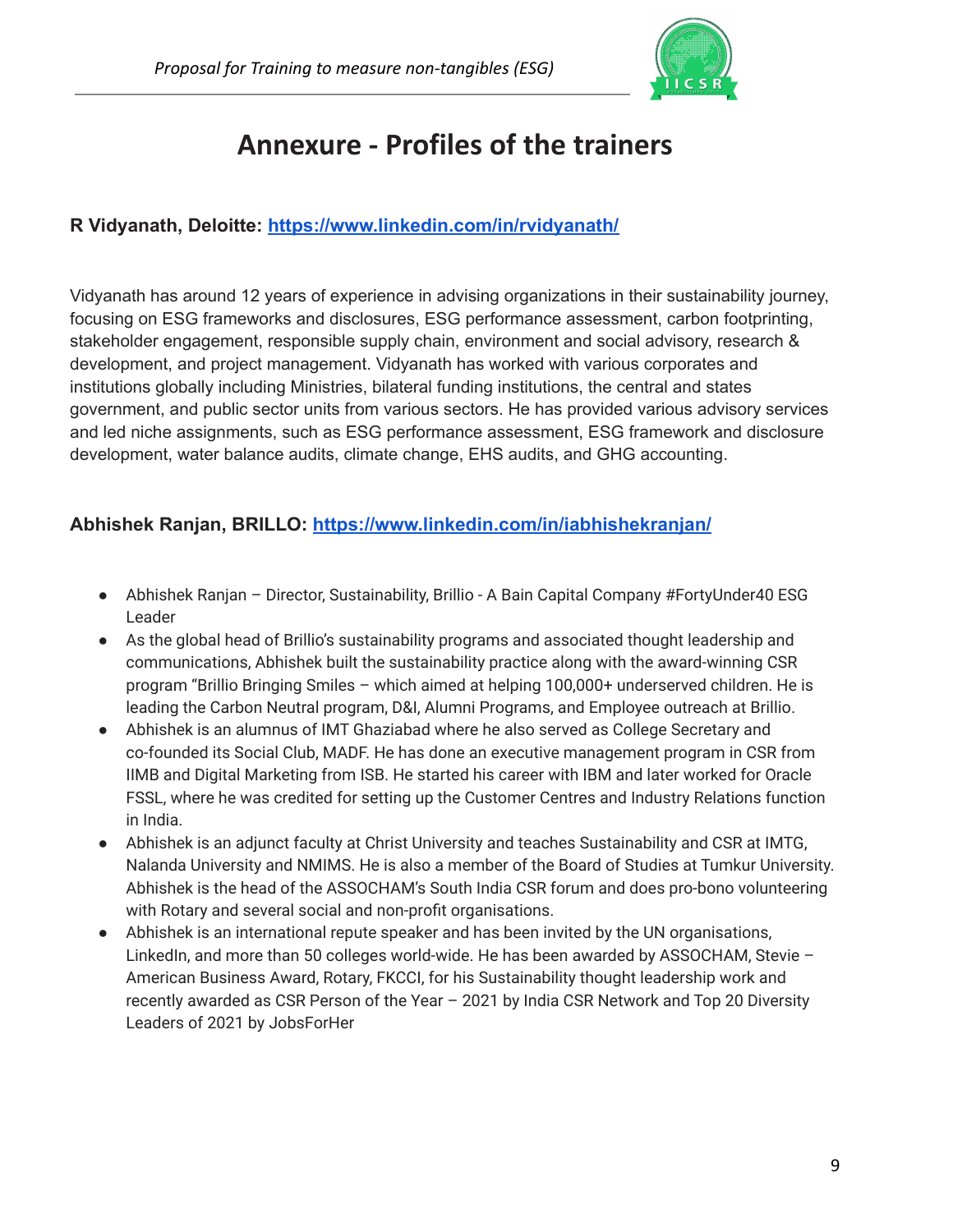

# **Annexure - Profiles of the trainers**

### <span id="page-8-0"></span>**R Vidyanath, Deloitte: <https://www.linkedin.com/in/rvidyanath/>**

Vidyanath has around 12 years of experience in advising organizations in their sustainability journey, focusing on ESG frameworks and disclosures, ESG performance assessment, carbon footprinting, stakeholder engagement, responsible supply chain, environment and social advisory, research & development, and project management. Vidyanath has worked with various corporates and institutions globally including Ministries, bilateral funding institutions, the central and states government, and public sector units from various sectors. He has provided various advisory services and led niche assignments, such as ESG performance assessment, ESG framework and disclosure development, water balance audits, climate change, EHS audits, and GHG accounting.

#### **Abhishek Ranjan, BRILLO: <https://www.linkedin.com/in/iabhishekranjan/>**

- Abhishek Ranjan Director, Sustainability, Brillio A Bain Capital Company #FortyUnder40 ESG Leader
- As the global head of Brillio's sustainability programs and associated thought leadership and communications, Abhishek built the sustainability practice along with the award-winning CSR program "Brillio Bringing Smiles – which aimed at helping 100,000+ underserved children. He is leading the Carbon Neutral program, D&I, Alumni Programs, and Employee outreach at Brillio.
- Abhishek is an alumnus of IMT Ghaziabad where he also served as College Secretary and co-founded its Social Club, MADF. He has done an executive management program in CSR from IIMB and Digital Marketing from ISB. He started his career with IBM and later worked for Oracle FSSL, where he was credited for setting up the Customer Centres and Industry Relations function in India.
- Abhishek is an adjunct faculty at Christ University and teaches Sustainability and CSR at IMTG, Nalanda University and NMIMS. He is also a member of the Board of Studies at Tumkur University. Abhishek is the head of the ASSOCHAM's South India CSR forum and does pro-bono volunteering with Rotary and several social and non-profit organisations.
- Abhishek is an international repute speaker and has been invited by the UN organisations, LinkedIn, and more than 50 colleges world-wide. He has been awarded by ASSOCHAM, Stevie – American Business Award, Rotary, FKCCI, for his Sustainability thought leadership work and recently awarded as CSR Person of the Year – 2021 by India CSR Network and Top 20 Diversity Leaders of 2021 by JobsForHer